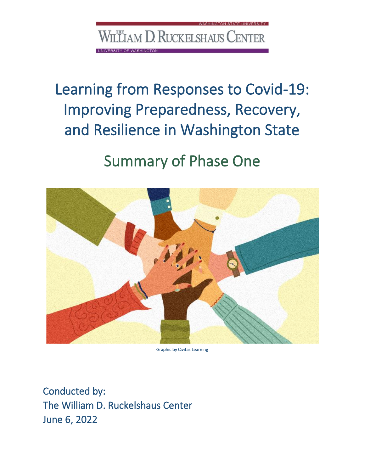WILLIAM D. RUCKELSHAUS CENTER

**SITY OF WASHINGTON** 

VASHINGTON STATE UNIVERSITY

Learning from Responses to Covid-19: Improving Preparedness, Recovery, and Resilience in Washington State

# Summary of Phase One



Graphic by Civitas Learning

Conducted by: The William D. Ruckelshaus Center June 6, 2022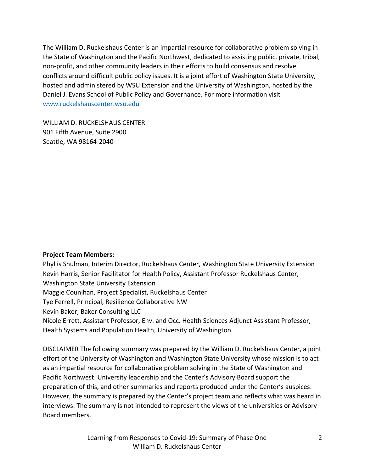The William D. Ruckelshaus Center is an impartial resource for collaborative problem solving in the State of Washington and the Pacific Northwest, dedicated to assisting public, private, tribal, non-profit, and other community leaders in their efforts to build consensus and resolve conflicts around difficult public policy issues. It is a joint effort of Washington State University, hosted and administered by WSU Extension and the University of Washington, hosted by the Daniel J. Evans School of Public Policy and Governance. For more information visit [www.ruckelshauscenter.wsu.edu](http://www.ruckelshauscenter.wsu.edu/)

WILLIAM D. RUCKELSHAUS CENTER 901 Fifth Avenue, Suite 2900 Seattle, WA 98164-2040

#### **Project Team Members:**

Phyllis Shulman, Interim Director, Ruckelshaus Center, Washington State University Extension Kevin Harris, Senior Facilitator for Health Policy, Assistant Professor Ruckelshaus Center, Washington State University Extension Maggie Counihan, Project Specialist, Ruckelshaus Center Tye Ferrell, Principal, Resilience Collaborative NW Kevin Baker, Baker Consulting LLC Nicole Errett, Assistant Professor, Env. and Occ. Health Sciences Adjunct Assistant Professor, Health Systems and Population Health, University of Washington

DISCLAIMER The following summary was prepared by the William D. Ruckelshaus Center, a joint effort of the University of Washington and Washington State University whose mission is to act as an impartial resource for collaborative problem solving in the State of Washington and Pacific Northwest. University leadership and the Center's Advisory Board support the preparation of this, and other summaries and reports produced under the Center's auspices. However, the summary is prepared by the Center's project team and reflects what was heard in interviews. The summary is not intended to represent the views of the universities or Advisory Board members.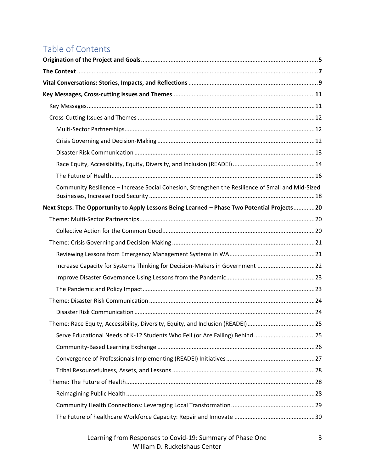# Table of Contents

| Community Resilience - Increase Social Cohesion, Strengthen the Resilience of Small and Mid-Sized |  |
|---------------------------------------------------------------------------------------------------|--|
| Next Steps: The Opportunity to Apply Lessons Being Learned - Phase Two Potential Projects20       |  |
|                                                                                                   |  |
|                                                                                                   |  |
|                                                                                                   |  |
|                                                                                                   |  |
| Increase Capacity for Systems Thinking for Decision-Makers in Government 22                       |  |
|                                                                                                   |  |
|                                                                                                   |  |
|                                                                                                   |  |
|                                                                                                   |  |
| Theme: Race Equity, Accessibility, Diversity, Equity, and Inclusion (READEI)25                    |  |
| Serve Educational Needs of K-12 Students Who Fell (or Are Falling) Behind 25                      |  |
|                                                                                                   |  |
|                                                                                                   |  |
|                                                                                                   |  |
|                                                                                                   |  |
|                                                                                                   |  |
|                                                                                                   |  |
|                                                                                                   |  |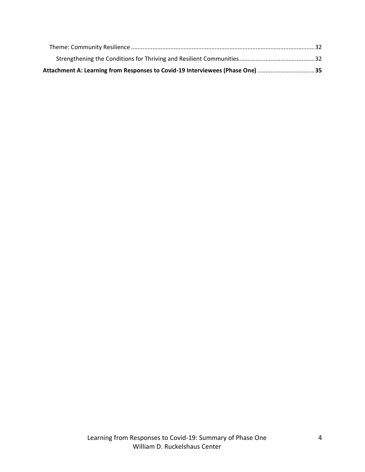| Attachment A: Learning from Responses to Covid-19 Interviewees (Phase One) …………………………………35 |  |
|--------------------------------------------------------------------------------------------|--|
|                                                                                            |  |
|                                                                                            |  |
|                                                                                            |  |
|                                                                                            |  |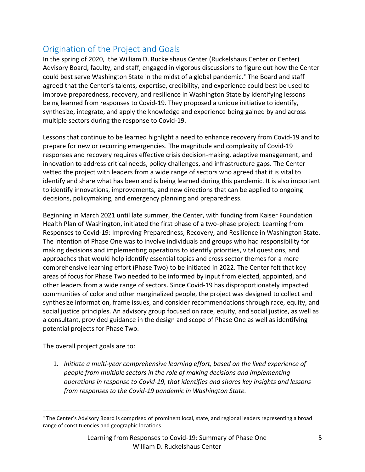## Origination of the Project and Goals

In the spring of 2020, the William D. Ruckelshaus Center (Ruckelshaus Center or Center) Advisory Board, faculty, and staff, engaged in vigorous discussions to figure out how the Center could best serve Washington State in the midst of a global pandemic.<sup>\*</sup> The Board and staff agreed that the Center's talents, expertise, credibility, and experience could best be used to improve preparedness, recovery, and resilience in Washington State by identifying lessons being learned from responses to Covid-19. They proposed a unique initiative to identify, synthesize, integrate, and apply the knowledge and experience being gained by and across multiple sectors during the response to Covid-19.

Lessons that continue to be learned highlight a need to enhance recovery from Covid-19 and to prepare for new or recurring emergencies. The magnitude and complexity of Covid-19 responses and recovery requires effective crisis decision-making, adaptive management, and innovation to address critical needs, policy challenges, and infrastructure gaps. The Center vetted the project with leaders from a wide range of sectors who agreed that it is vital to identify and share what has been and is being learned during this pandemic. It is also important to identify innovations, improvements, and new directions that can be applied to ongoing decisions, policymaking, and emergency planning and preparedness.

Beginning in March 2021 until late summer, the Center, with funding from Kaiser Foundation Health Plan of Washington, initiated the first phase of a two-phase project: Learning from Responses to Covid-19: Improving Preparedness, Recovery, and Resilience in Washington State. The intention of Phase One was to involve individuals and groups who had responsibility for making decisions and implementing operations to identify priorities, vital questions, and approaches that would help identify essential topics and cross sector themes for a more comprehensive learning effort (Phase Two) to be initiated in 2022. The Center felt that key areas of focus for Phase Two needed to be informed by input from elected, appointed, and other leaders from a wide range of sectors. Since Covid-19 has disproportionately impacted communities of color and other marginalized people, the project was designed to collect and synthesize information, frame issues, and consider recommendations through race, equity, and social justice principles. An advisory group focused on race, equity, and social justice, as well as a consultant, provided guidance in the design and scope of Phase One as well as identifying potential projects for Phase Two.

The overall project goals are to:

1. *Initiate a multi-year comprehensive learning effort, based on the lived experience of people from multiple sectors in the role of making decisions and implementing operations in response to Covid-19, that identifies and shares key insights and lessons from responses to the Covid-19 pandemic in Washington State.* 

The Center's Advisory Board is comprised of prominent local, state, and regional leaders representing a broad range of constituencies and geographic locations.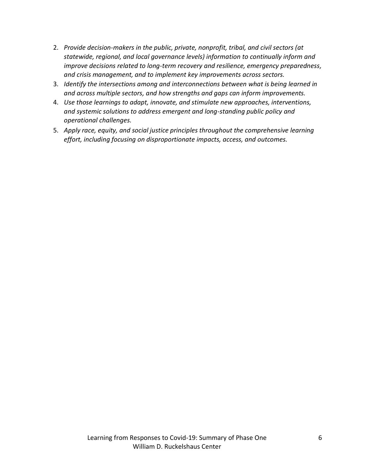- 2. *Provide decision-makers in the public, private, nonprofit, tribal, and civil sectors (at statewide, regional, and local governance levels) information to continually inform and improve decisions related to long-term recovery and resilience, emergency preparedness, and crisis management, and to implement key improvements across sectors.*
- 3. *Identify the intersections among and interconnections between what is being learned in and across multiple sectors, and how strengths and gaps can inform improvements.*
- 4. *Use those learnings to adapt, innovate, and stimulate new approaches, interventions, and systemic solutions to address emergent and long-standing public policy and operational challenges.*
- 5. *Apply race, equity, and social justice principles throughout the comprehensive learning effort, including focusing on disproportionate impacts, access, and outcomes.*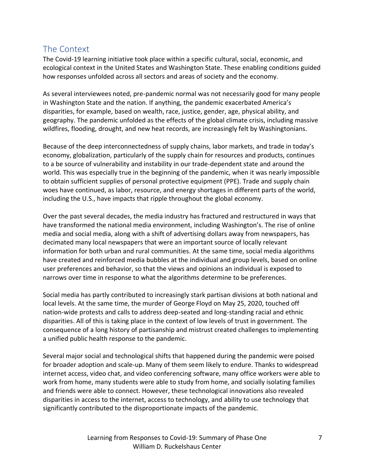## The Context

The Covid-19 learning initiative took place within a specific cultural, social, economic, and ecological context in the United States and Washington State. These enabling conditions guided how responses unfolded across all sectors and areas of society and the economy.

As several interviewees noted, pre-pandemic normal was not necessarily good for many people in Washington State and the nation. If anything, the pandemic exacerbated America's disparities, for example, based on wealth, race, justice, gender, age, physical ability, and geography. The pandemic unfolded as the effects of the global climate crisis, including massive wildfires, flooding, drought, and new heat records, are increasingly felt by Washingtonians.

Because of the deep interconnectedness of supply chains, labor markets, and trade in today's economy, globalization, particularly of the supply chain for resources and products, continues to a be source of vulnerability and instability in our trade-dependent state and around the world. This was especially true in the beginning of the pandemic, when it was nearly impossible to obtain sufficient supplies of personal protective equipment (PPE). Trade and supply chain woes have continued, as labor, resource, and energy shortages in different parts of the world, including the U.S., have impacts that ripple throughout the global economy.

Over the past several decades, the media industry has fractured and restructured in ways that have transformed the national media environment, including Washington's. The rise of online media and social media, along with a shift of advertising dollars away from newspapers, has decimated many local newspapers that were an important source of locally relevant information for both urban and rural communities. At the same time, social media algorithms have created and reinforced media bubbles at the individual and group levels, based on online user preferences and behavior, so that the views and opinions an individual is exposed to narrows over time in response to what the algorithms determine to be preferences.

Social media has partly contributed to increasingly stark partisan divisions at both national and local levels. At the same time, the murder of George Floyd on May 25, 2020, touched off nation-wide protests and calls to address deep-seated and long-standing racial and ethnic disparities. All of this is taking place in the context of low levels of trust in government. The consequence of a long history of partisanship and mistrust created challenges to implementing a unified public health response to the pandemic.

Several major social and technological shifts that happened during the pandemic were poised for broader adoption and scale-up. Many of them seem likely to endure. Thanks to widespread internet access, video chat, and video conferencing software, many office workers were able to work from home, many students were able to study from home, and socially isolating families and friends were able to connect. However, these technological innovations also revealed disparities in access to the internet, access to technology, and ability to use technology that significantly contributed to the disproportionate impacts of the pandemic.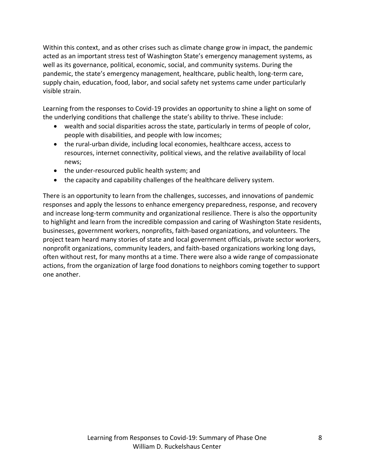Within this context, and as other crises such as climate change grow in impact, the pandemic acted as an important stress test of Washington State's emergency management systems, as well as its governance, political, economic, social, and community systems. During the pandemic, the state's emergency management, healthcare, public health, long-term care, supply chain, education, food, labor, and social safety net systems came under particularly visible strain.

Learning from the responses to Covid-19 provides an opportunity to shine a light on some of the underlying conditions that challenge the state's ability to thrive. These include:

- wealth and social disparities across the state, particularly in terms of people of color, people with disabilities, and people with low incomes;
- the rural-urban divide, including local economies, healthcare access, access to resources, internet connectivity, political views, and the relative availability of local news;
- the under-resourced public health system; and
- the capacity and capability challenges of the healthcare delivery system.

There is an opportunity to learn from the challenges, successes, and innovations of pandemic responses and apply the lessons to enhance emergency preparedness, response, and recovery and increase long-term community and organizational resilience. There is also the opportunity to highlight and learn from the incredible compassion and caring of Washington State residents, businesses, government workers, nonprofits, faith-based organizations, and volunteers. The project team heard many stories of state and local government officials, private sector workers, nonprofit organizations, community leaders, and faith-based organizations working long days, often without rest, for many months at a time. There were also a wide range of compassionate actions, from the organization of large food donations to neighbors coming together to support one another.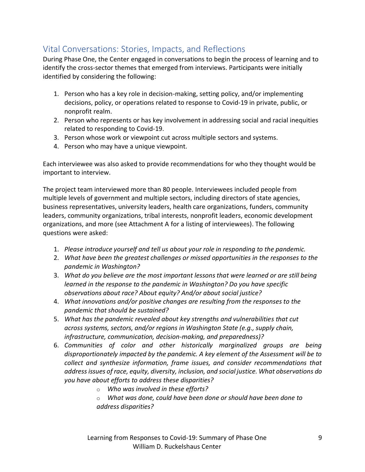# Vital Conversations: Stories, Impacts, and Reflections

During Phase One, the Center engaged in conversations to begin the process of learning and to identify the cross-sector themes that emerged from interviews. Participants were initially identified by considering the following:

- 1. Person who has a key role in decision-making, setting policy, and/or implementing decisions, policy, or operations related to response to Covid-19 in private, public, or nonprofit realm.
- 2. Person who represents or has key involvement in addressing social and racial inequities related to responding to Covid-19.
- 3. Person whose work or viewpoint cut across multiple sectors and systems.
- 4. Person who may have a unique viewpoint.

Each interviewee was also asked to provide recommendations for who they thought would be important to interview.

The project team interviewed more than 80 people. Interviewees included people from multiple levels of government and multiple sectors, including directors of state agencies, business representatives, university leaders, health care organizations, funders, community leaders, community organizations, tribal interests, nonprofit leaders, economic development organizations, and more (see Attachment A for a listing of interviewees). The following questions were asked:

- 1. *Please introduce yourself and tell us about your role in responding to the pandemic.*
- 2. *What have been the greatest challenges or missed opportunities in the responses to the pandemic in Washington?*
- 3. *What do you believe are the most important lessons that were learned or are still being learned in the response to the pandemic in Washington? Do you have specific observations about race? About equity? And/or about social justice?*
- 4. *What innovations and/or positive changes are resulting from the responses to the pandemic that should be sustained?*
- 5. *What has the pandemic revealed about key strengths and vulnerabilities that cut across systems, sectors, and/or regions in Washington State (e.g., supply chain, infrastructure, communication, decision-making, and preparedness)?*
- 6. *Communities of color and other historically marginalized groups are being disproportionately impacted by the pandemic. A key element of the Assessment will be to collect and synthesize information, frame issues, and consider recommendations that address issues of race, equity, diversity, inclusion, and social justice. What observations do you have about efforts to address these disparities?*
	- o *Who was involved in these efforts?*

o *What was done, could have been done or should have been done to address disparities?*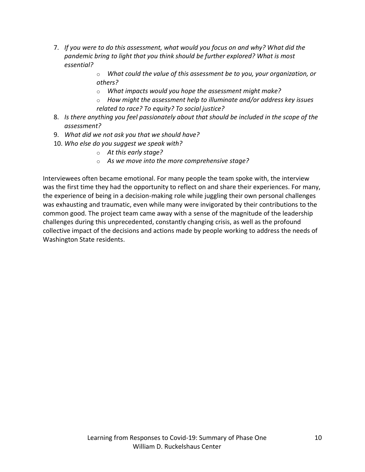- 7. *If you were to do this assessment, what would you focus on and why? What did the pandemic bring to light that you think should be further explored? What is most essential?*
	- o *What could the value of this assessment be to you, your organization, or others?*
	- o *What impacts would you hope the assessment might make?*
	- o *How might the assessment help to illuminate and/or address key issues related to race? To equity? To social justice?*
- 8. *Is there anything you feel passionately about that should be included in the scope of the assessment?*
- 9. *What did we not ask you that we should have?*
- 10. *Who else do you suggest we speak with?*
	- o *At this early stage?*
	- o *As we move into the more comprehensive stage?*

Interviewees often became emotional. For many people the team spoke with, the interview was the first time they had the opportunity to reflect on and share their experiences. For many, the experience of being in a decision-making role while juggling their own personal challenges was exhausting and traumatic, even while many were invigorated by their contributions to the common good. The project team came away with a sense of the magnitude of the leadership challenges during this unprecedented, constantly changing crisis, as well as the profound collective impact of the decisions and actions made by people working to address the needs of Washington State residents.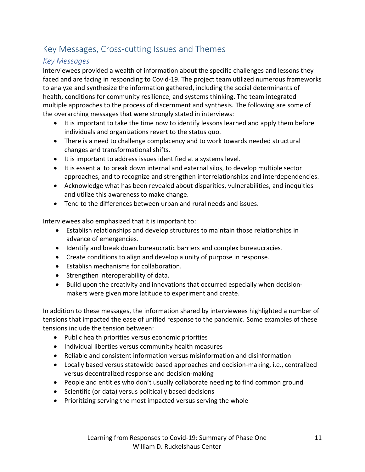# Key Messages, Cross-cutting Issues and Themes

#### *Key Messages*

Interviewees provided a wealth of information about the specific challenges and lessons they faced and are facing in responding to Covid-19. The project team utilized numerous frameworks to analyze and synthesize the information gathered, including the social determinants of health, conditions for community resilience, and systems thinking. The team integrated multiple approaches to the process of discernment and synthesis. The following are some of the overarching messages that were strongly stated in interviews:

- It is important to take the time now to identify lessons learned and apply them before individuals and organizations revert to the status quo.
- There is a need to challenge complacency and to work towards needed structural changes and transformational shifts.
- It is important to address issues identified at a systems level.
- It is essential to break down internal and external silos, to develop multiple sector approaches, and to recognize and strengthen interrelationships and interdependencies.
- Acknowledge what has been revealed about disparities, vulnerabilities, and inequities and utilize this awareness to make change.
- Tend to the differences between urban and rural needs and issues.

Interviewees also emphasized that it is important to:

- Establish relationships and develop structures to maintain those relationships in advance of emergencies.
- Identify and break down bureaucratic barriers and complex bureaucracies.
- Create conditions to align and develop a unity of purpose in response.
- Establish mechanisms for collaboration.
- Strengthen interoperability of data.
- Build upon the creativity and innovations that occurred especially when decisionmakers were given more latitude to experiment and create.

In addition to these messages, the information shared by interviewees highlighted a number of tensions that impacted the ease of unified response to the pandemic. Some examples of these tensions include the tension between:

- Public health priorities versus economic priorities
- Individual liberties versus community health measures
- Reliable and consistent information versus misinformation and disinformation
- Locally based versus statewide based approaches and decision-making, i.e., centralized versus decentralized response and decision-making
- People and entities who don't usually collaborate needing to find common ground
- Scientific (or data) versus politically based decisions
- Prioritizing serving the most impacted versus serving the whole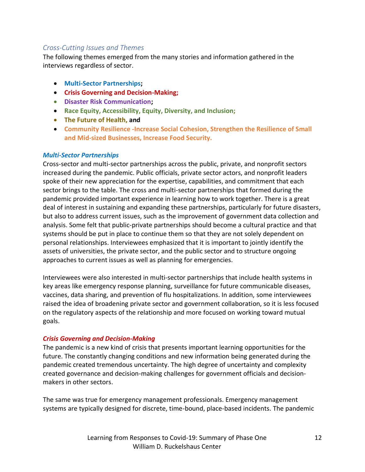#### *Cross-Cutting Issues and Themes*

The following themes emerged from the many stories and information gathered in the interviews regardless of sector.

- **Multi-Sector Partnerships;**
- **Crisis Governing and Decision-Making;**
- **Disaster Risk Communication;**
- **Race Equity, Accessibility, Equity, Diversity, and Inclusion;**
- **The Future of Health, and**
- **Community Resilience -Increase Social Cohesion, Strengthen the Resilience of Small and Mid-sized Businesses, Increase Food Security.**

#### *Multi-Sector Partnerships*

Cross-sector and multi-sector partnerships across the public, private, and nonprofit sectors increased during the pandemic. Public officials, private sector actors, and nonprofit leaders spoke of their new appreciation for the expertise, capabilities, and commitment that each sector brings to the table. The cross and multi-sector partnerships that formed during the pandemic provided important experience in learning how to work together. There is a great deal of interest in sustaining and expanding these partnerships, particularly for future disasters, but also to address current issues, such as the improvement of government data collection and analysis. Some felt that public-private partnerships should become a cultural practice and that systems should be put in place to continue them so that they are not solely dependent on personal relationships. Interviewees emphasized that it is important to jointly identify the assets of universities, the private sector, and the public sector and to structure ongoing approaches to current issues as well as planning for emergencies.

Interviewees were also interested in multi-sector partnerships that include health systems in key areas like emergency response planning, surveillance for future communicable diseases, vaccines, data sharing, and prevention of flu hospitalizations. In addition, some interviewees raised the idea of broadening private sector and government collaboration, so it is less focused on the regulatory aspects of the relationship and more focused on working toward mutual goals.

#### *Crisis Governing and Decision-Making*

The pandemic is a new kind of crisis that presents important learning opportunities for the future. The constantly changing conditions and new information being generated during the pandemic created tremendous uncertainty. The high degree of uncertainty and complexity created governance and decision-making challenges for government officials and decisionmakers in other sectors.

The same was true for emergency management professionals. Emergency management systems are typically designed for discrete, time-bound, place-based incidents. The pandemic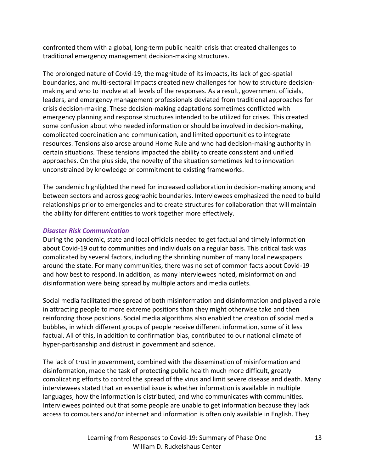confronted them with a global, long-term public health crisis that created challenges to traditional emergency management decision-making structures.

The prolonged nature of Covid-19, the magnitude of its impacts, its lack of geo-spatial boundaries, and multi-sectoral impacts created new challenges for how to structure decisionmaking and who to involve at all levels of the responses. As a result, government officials, leaders, and emergency management professionals deviated from traditional approaches for crisis decision-making. These decision-making adaptations sometimes conflicted with emergency planning and response structures intended to be utilized for crises. This created some confusion about who needed information or should be involved in decision-making, complicated coordination and communication, and limited opportunities to integrate resources. Tensions also arose around Home Rule and who had decision-making authority in certain situations. These tensions impacted the ability to create consistent and unified approaches. On the plus side, the novelty of the situation sometimes led to innovation unconstrained by knowledge or commitment to existing frameworks.

The pandemic highlighted the need for increased collaboration in decision-making among and between sectors and across geographic boundaries. Interviewees emphasized the need to build relationships prior to emergencies and to create structures for collaboration that will maintain the ability for different entities to work together more effectively.

#### *Disaster Risk Communication*

During the pandemic, state and local officials needed to get factual and timely information about Covid-19 out to communities and individuals on a regular basis. This critical task was complicated by several factors, including the shrinking number of many local newspapers around the state. For many communities, there was no set of common facts about Covid-19 and how best to respond. In addition, as many interviewees noted, misinformation and disinformation were being spread by multiple actors and media outlets.

Social media facilitated the spread of both misinformation and disinformation and played a role in attracting people to more extreme positions than they might otherwise take and then reinforcing those positions. Social media algorithms also enabled the creation of social media bubbles, in which different groups of people receive different information, some of it less factual. All of this, in addition to confirmation bias, contributed to our national climate of hyper-partisanship and distrust in government and science.

The lack of trust in government, combined with the dissemination of misinformation and disinformation, made the task of protecting public health much more difficult, greatly complicating efforts to control the spread of the virus and limit severe disease and death. Many interviewees stated that an essential issue is whether information is available in multiple languages, how the information is distributed, and who communicates with communities. Interviewees pointed out that some people are unable to get information because they lack access to computers and/or internet and information is often only available in English. They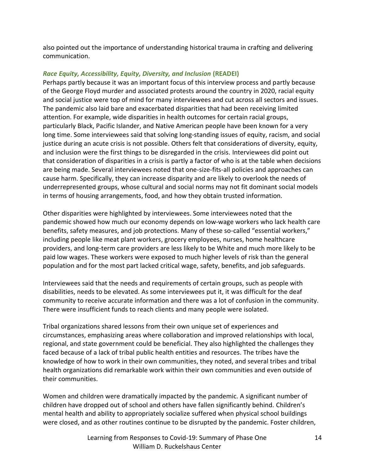also pointed out the importance of understanding historical trauma in crafting and delivering communication.

#### *Race Equity, Accessibility, Equity, Diversity, and Inclusion* **(READEI)**

Perhaps partly because it was an important focus of this interview process and partly because of the George Floyd murder and associated protests around the country in 2020, racial equity and social justice were top of mind for many interviewees and cut across all sectors and issues. The pandemic also laid bare and exacerbated disparities that had been receiving limited attention. For example, wide disparities in health outcomes for certain racial groups, particularly Black, Pacific Islander, and Native American people have been known for a very long time. Some interviewees said that solving long-standing issues of equity, racism, and social justice during an acute crisis is not possible. Others felt that considerations of diversity, equity, and inclusion were the first things to be disregarded in the crisis. Interviewees did point out that consideration of disparities in a crisis is partly a factor of who is at the table when decisions are being made. Several interviewees noted that one-size-fits-all policies and approaches can cause harm. Specifically, they can increase disparity and are likely to overlook the needs of underrepresented groups, whose cultural and social norms may not fit dominant social models in terms of housing arrangements, food, and how they obtain trusted information.

Other disparities were highlighted by interviewees. Some interviewees noted that the pandemic showed how much our economy depends on low-wage workers who lack health care benefits, safety measures, and job protections. Many of these so-called "essential workers," including people like meat plant workers, grocery employees, nurses, home healthcare providers, and long-term care providers are less likely to be White and much more likely to be paid low wages. These workers were exposed to much higher levels of risk than the general population and for the most part lacked critical wage, safety, benefits, and job safeguards.

Interviewees said that the needs and requirements of certain groups, such as people with disabilities, needs to be elevated. As some interviewees put it, it was difficult for the deaf community to receive accurate information and there was a lot of confusion in the community. There were insufficient funds to reach clients and many people were isolated.

Tribal organizations shared lessons from their own unique set of experiences and circumstances, emphasizing areas where collaboration and improved relationships with local, regional, and state government could be beneficial. They also highlighted the challenges they faced because of a lack of tribal public health entities and resources. The tribes have the knowledge of how to work in their own communities, they noted, and several tribes and tribal health organizations did remarkable work within their own communities and even outside of their communities.

Women and children were dramatically impacted by the pandemic. A significant number of children have dropped out of school and others have fallen significantly behind. Children's mental health and ability to appropriately socialize suffered when physical school buildings were closed, and as other routines continue to be disrupted by the pandemic. Foster children,

> Learning from Responses to Covid-19: Summary of Phase One William D. Ruckelshaus Center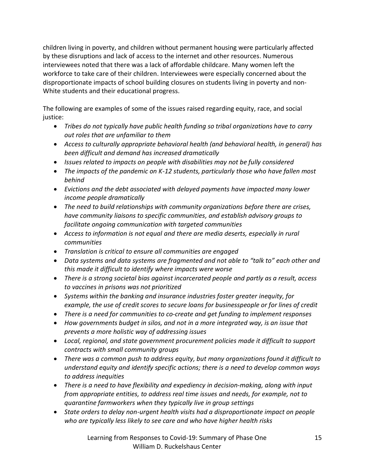children living in poverty, and children without permanent housing were particularly affected by these disruptions and lack of access to the internet and other resources. Numerous interviewees noted that there was a lack of affordable childcare. Many women left the workforce to take care of their children. Interviewees were especially concerned about the disproportionate impacts of school building closures on students living in poverty and non-White students and their educational progress.

The following are examples of some of the issues raised regarding equity, race, and social justice:

- *Tribes do not typically have public health funding so tribal organizations have to carry out roles that are unfamiliar to them*
- *Access to culturally appropriate behavioral health (and behavioral health, in general) has been difficult and demand has increased dramatically*
- *Issues related to impacts on people with disabilities may not be fully considered*
- *The impacts of the pandemic on K-12 students, particularly those who have fallen most behind*
- *Evictions and the debt associated with delayed payments have impacted many lower income people dramatically*
- *The need to build relationships with community organizations before there are crises, have community liaisons to specific communities, and establish advisory groups to facilitate ongoing communication with targeted communities*
- *Access to information is not equal and there are media deserts, especially in rural communities*
- *Translation is critical to ensure all communities are engaged*
- *Data systems and data systems are fragmented and not able to "talk to" each other and this made it difficult to identify where impacts were worse*
- *There is a strong societal bias against incarcerated people and partly as a result, access to vaccines in prisons was not prioritized*
- *Systems within the banking and insurance industries foster greater inequity, for example, the use of credit scores to secure loans for businesspeople or for lines of credit*
- *There is a need for communities to co-create and get funding to implement responses*
- *How governments budget in silos, and not in a more integrated way, is an issue that prevents a more holistic way of addressing issues*
- *Local, regional, and state government procurement policies made it difficult to support contracts with small community groups*
- *There was a common push to address equity, but many organizations found it difficult to understand equity and identify specific actions; there is a need to develop common ways to address inequities*
- *There is a need to have flexibility and expediency in decision-making, along with input from appropriate entities, to address real time issues and needs, for example, not to quarantine farmworkers when they typically live in group settings*
- *State orders to delay non-urgent health visits had a disproportionate impact on people who are typically less likely to see care and who have higher health risks*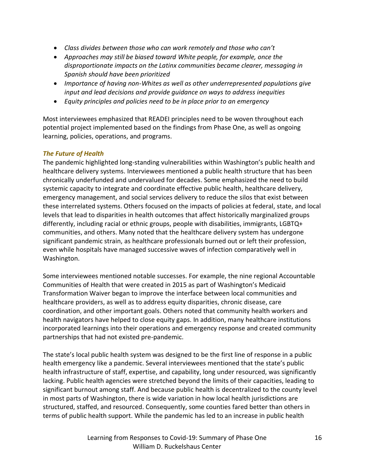- *Class divides between those who can work remotely and those who can't*
- *Approaches may still be biased toward White people, for example, once the disproportionate impacts on the Latinx communities became clearer, messaging in Spanish should have been prioritized*
- *Importance of having non-Whites as well as other underrepresented populations give input and lead decisions and provide guidance on ways to address inequities*
- *Equity principles and policies need to be in place prior to an emergency*

Most interviewees emphasized that READEI principles need to be woven throughout each potential project implemented based on the findings from Phase One, as well as ongoing learning, policies, operations, and programs.

#### *The Future of Health*

The pandemic highlighted long-standing vulnerabilities within Washington's public health and healthcare delivery systems. Interviewees mentioned a public health structure that has been chronically underfunded and undervalued for decades. Some emphasized the need to build systemic capacity to integrate and coordinate effective public health, healthcare delivery, emergency management, and social services delivery to reduce the silos that exist between these interrelated systems. Others focused on the impacts of policies at federal, state, and local levels that lead to disparities in health outcomes that affect historically marginalized groups differently, including racial or ethnic groups, people with disabilities, immigrants, LGBTQ+ communities, and others. Many noted that the healthcare delivery system has undergone significant pandemic strain, as healthcare professionals burned out or left their profession, even while hospitals have managed successive waves of infection comparatively well in Washington.

Some interviewees mentioned notable successes. For example, the nine regional Accountable Communities of Health that were created in 2015 as part of Washington's Medicaid Transformation Waiver began to improve the interface between local communities and healthcare providers, as well as to address equity disparities, chronic disease, care coordination, and other important goals. Others noted that community health workers and health navigators have helped to close equity gaps. In addition, many healthcare institutions incorporated learnings into their operations and emergency response and created community partnerships that had not existed pre-pandemic.

The state's local public health system was designed to be the first line of response in a public health emergency like a pandemic. Several interviewees mentioned that the state's public health infrastructure of staff, expertise, and capability, long under resourced, was significantly lacking. Public health agencies were stretched beyond the limits of their capacities, leading to significant burnout among staff. And because public health is decentralized to the county level in most parts of Washington, there is wide variation in how local health jurisdictions are structured, staffed, and resourced. Consequently, some counties fared better than others in terms of public health support. While the pandemic has led to an increase in public health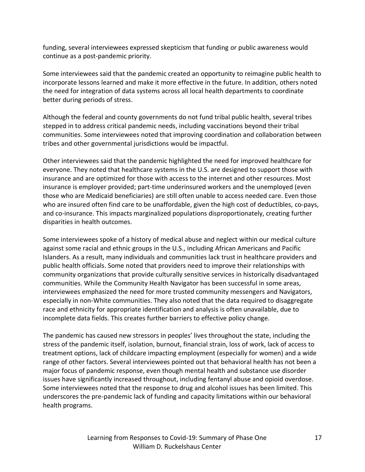funding, several interviewees expressed skepticism that funding or public awareness would continue as a post-pandemic priority.

Some interviewees said that the pandemic created an opportunity to reimagine public health to incorporate lessons learned and make it more effective in the future. In addition, others noted the need for integration of data systems across all local health departments to coordinate better during periods of stress.

Although the federal and county governments do not fund tribal public health, several tribes stepped in to address critical pandemic needs, including vaccinations beyond their tribal communities. Some interviewees noted that improving coordination and collaboration between tribes and other governmental jurisdictions would be impactful.

Other interviewees said that the pandemic highlighted the need for improved healthcare for everyone. They noted that healthcare systems in the U.S. are designed to support those with insurance and are optimized for those with access to the internet and other resources. Most insurance is employer provided; part-time underinsured workers and the unemployed (even those who are Medicaid beneficiaries) are still often unable to access needed care. Even those who are insured often find care to be unaffordable, given the high cost of deductibles, co-pays, and co-insurance. This impacts marginalized populations disproportionately, creating further disparities in health outcomes.

Some interviewees spoke of a history of medical abuse and neglect within our medical culture against some racial and ethnic groups in the U.S., including African Americans and Pacific Islanders. As a result, many individuals and communities lack trust in healthcare providers and public health officials. Some noted that providers need to improve their relationships with community organizations that provide culturally sensitive services in historically disadvantaged communities. While the Community Health Navigator has been successful in some areas, interviewees emphasized the need for more trusted community messengers and Navigators, especially in non-White communities. They also noted that the data required to disaggregate race and ethnicity for appropriate identification and analysis is often unavailable, due to incomplete data fields. This creates further barriers to effective policy change.

The pandemic has caused new stressors in peoples' lives throughout the state, including the stress of the pandemic itself, isolation, burnout, financial strain, loss of work, lack of access to treatment options, lack of childcare impacting employment (especially for women) and a wide range of other factors. Several interviewees pointed out that behavioral health has not been a major focus of pandemic response, even though mental health and substance use disorder issues have significantly increased throughout, including fentanyl abuse and opioid overdose. Some interviewees noted that the response to drug and alcohol issues has been limited. This underscores the pre-pandemic lack of funding and capacity limitations within our behavioral health programs.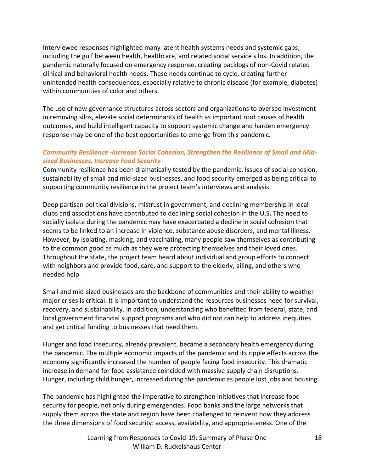Interviewee responses highlighted many latent health systems needs and systemic gaps, including the gulf between health, healthcare, and related social service silos. In addition, the pandemic naturally focused on emergency response, creating backlogs of non-Covid related clinical and behavioral health needs. These needs continue to cycle, creating further unintended health consequences, especially relative to chronic disease (for example, diabetes) within communities of color and others.

The use of new governance structures across sectors and organizations to oversee investment in removing silos, elevate social determinants of health as important root causes of health outcomes, and build intelligent capacity to support systemic change and harden emergency response may be one of the best opportunities to emerge from this pandemic.

#### *Community Resilience -Increase Social Cohesion, Strengthen the Resilience of Small and Midsized Businesses, Increase Food Security*

Community resilience has been dramatically tested by the pandemic. Issues of social cohesion, sustainability of small and mid-sized businesses, and food security emerged as being critical to supporting community resilience in the project team's interviews and analysis.

Deep partisan political divisions, mistrust in government, and declining membership in local clubs and associations have contributed to declining social cohesion in the U.S. The need to socially isolate during the pandemic may have exacerbated a decline in social cohesion that seems to be linked to an increase in violence, substance abuse disorders, and mental illness. However, by isolating, masking, and vaccinating, many people saw themselves as contributing to the common good as much as they were protecting themselves and their loved ones. Throughout the state, the project team heard about individual and group efforts to connect with neighbors and provide food, care, and support to the elderly, ailing, and others who needed help.

Small and mid-sized businesses are the backbone of communities and their ability to weather major crises is critical. It is important to understand the resources businesses need for survival, recovery, and sustainability. In addition, understanding who benefited from federal, state, and local government financial support programs and who did not can help to address inequities and get critical funding to businesses that need them.

Hunger and food insecurity, already prevalent, became a secondary health emergency during the pandemic. The multiple economic impacts of the pandemic and its ripple effects across the economy significantly increased the number of people facing food insecurity. This dramatic increase in demand for food assistance coincided with massive supply chain disruptions. Hunger, including child hunger, increased during the pandemic as people lost jobs and housing.

The pandemic has highlighted the imperative to strengthen initiatives that increase food security for people, not only during emergencies. Food banks and the large networks that supply them across the state and region have been challenged to reinvent how they address the three dimensions of food security: access, availability, and appropriateness. One of the

> Learning from Responses to Covid-19: Summary of Phase One William D. Ruckelshaus Center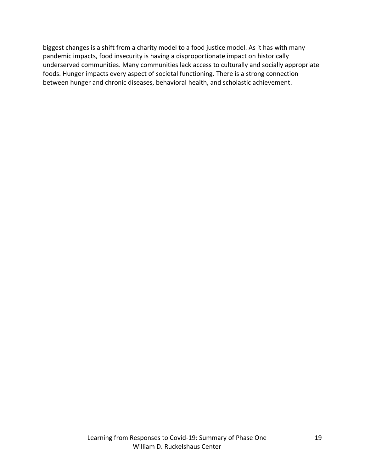biggest changes is a shift from a charity model to a food justice model. As it has with many pandemic impacts, food insecurity is having a disproportionate impact on historically underserved communities. Many communities lack access to culturally and socially appropriate foods. Hunger impacts every aspect of societal functioning. There is a strong connection between hunger and chronic diseases, behavioral health, and scholastic achievement.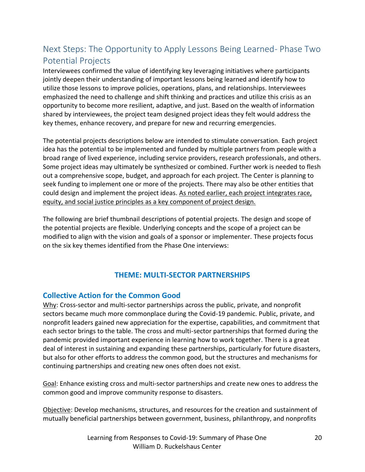# Next Steps: The Opportunity to Apply Lessons Being Learned- Phase Two Potential Projects

Interviewees confirmed the value of identifying key leveraging initiatives where participants jointly deepen their understanding of important lessons being learned and identify how to utilize those lessons to improve policies, operations, plans, and relationships. Interviewees emphasized the need to challenge and shift thinking and practices and utilize this crisis as an opportunity to become more resilient, adaptive, and just. Based on the wealth of information shared by interviewees, the project team designed project ideas they felt would address the key themes, enhance recovery, and prepare for new and recurring emergencies.

The potential projects descriptions below are intended to stimulate conversation. Each project idea has the potential to be implemented and funded by multiple partners from people with a broad range of lived experience, including service providers, research professionals, and others. Some project ideas may ultimately be synthesized or combined. Further work is needed to flesh out a comprehensive scope, budget, and approach for each project. The Center is planning to seek funding to implement one or more of the projects. There may also be other entities that could design and implement the project ideas. As noted earlier, each project integrates race, equity, and social justice principles as a key component of project design*.*

The following are brief thumbnail descriptions of potential projects. The design and scope of the potential projects are flexible. Underlying concepts and the scope of a project can be modified to align with the vision and goals of a sponsor or implementer. These projects focus on the six key themes identified from the Phase One interviews:

#### **THEME: MULTI-SECTOR PARTNERSHIPS**

#### **Collective Action for the Common Good**

Why: Cross-sector and multi-sector partnerships across the public, private, and nonprofit sectors became much more commonplace during the Covid-19 pandemic. Public, private, and nonprofit leaders gained new appreciation for the expertise, capabilities, and commitment that each sector brings to the table. The cross and multi-sector partnerships that formed during the pandemic provided important experience in learning how to work together. There is a great deal of interest in sustaining and expanding these partnerships, particularly for future disasters, but also for other efforts to address the common good, but the structures and mechanisms for continuing partnerships and creating new ones often does not exist.

Goal: Enhance existing cross and multi-sector partnerships and create new ones to address the common good and improve community response to disasters.

Objective: Develop mechanisms, structures, and resources for the creation and sustainment of mutually beneficial partnerships between government, business, philanthropy, and nonprofits

> Learning from Responses to Covid-19: Summary of Phase One William D. Ruckelshaus Center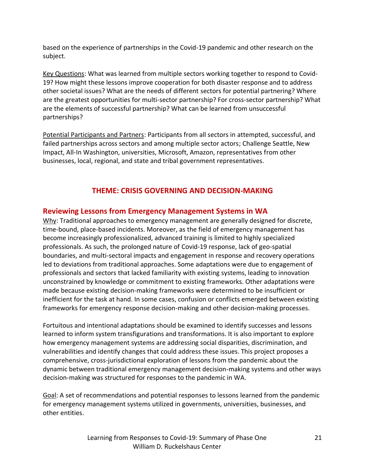based on the experience of partnerships in the Covid-19 pandemic and other research on the subject.

Key Questions: What was learned from multiple sectors working together to respond to Covid-19? How might these lessons improve cooperation for both disaster response and to address other societal issues? What are the needs of different sectors for potential partnering? Where are the greatest opportunities for multi-sector partnership? For cross-sector partnership? What are the elements of successful partnership? What can be learned from unsuccessful partnerships?

Potential Participants and Partners: Participants from all sectors in attempted, successful, and failed partnerships across sectors and among multiple sector actors; Challenge Seattle, New Impact, All-In Washington, universities, Microsoft, Amazon, representatives from other businesses, local, regional, and state and tribal government representatives.

### **THEME: CRISIS GOVERNING AND DECISION-MAKING**

#### **Reviewing Lessons from Emergency Management Systems in WA**

Why: Traditional approaches to emergency management are generally designed for discrete, time-bound, place-based incidents. Moreover, as the field of emergency management has become increasingly professionalized, advanced training is limited to highly specialized professionals. As such, the prolonged nature of Covid-19 response, lack of geo-spatial boundaries, and multi-sectoral impacts and engagement in response and recovery operations led to deviations from traditional approaches. Some adaptations were due to engagement of professionals and sectors that lacked familiarity with existing systems, leading to innovation unconstrained by knowledge or commitment to existing frameworks. Other adaptations were made because existing decision-making frameworks were determined to be insufficient or inefficient for the task at hand. In some cases, confusion or conflicts emerged between existing frameworks for emergency response decision-making and other decision-making processes.

Fortuitous and intentional adaptations should be examined to identify successes and lessons learned to inform system transfigurations and transformations. It is also important to explore how emergency management systems are addressing social disparities, discrimination, and vulnerabilities and identify changes that could address these issues. This project proposes a comprehensive, cross-jurisdictional exploration of lessons from the pandemic about the dynamic between traditional emergency management decision-making systems and other ways decision-making was structured for responses to the pandemic in WA.

Goal: A set of recommendations and potential responses to lessons learned from the pandemic for emergency management systems utilized in governments, universities, businesses, and other entities.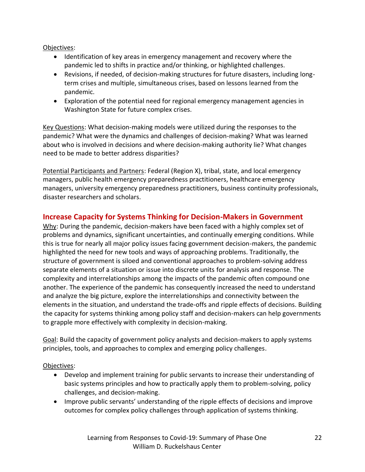Objectives:

- Identification of key areas in emergency management and recovery where the pandemic led to shifts in practice and/or thinking, or highlighted challenges.
- Revisions, if needed, of decision-making structures for future disasters, including longterm crises and multiple, simultaneous crises, based on lessons learned from the pandemic.
- Exploration of the potential need for regional emergency management agencies in Washington State for future complex crises.

Key Questions: What decision-making models were utilized during the responses to the pandemic? What were the dynamics and challenges of decision-making? What was learned about who is involved in decisions and where decision-making authority lie? What changes need to be made to better address disparities?

Potential Participants and Partners: Federal (Region X), tribal, state, and local emergency managers, public health emergency preparedness practitioners, healthcare emergency managers, university emergency preparedness practitioners, business continuity professionals, disaster researchers and scholars.

#### **Increase Capacity for Systems Thinking for Decision-Makers in Government**

Why: During the pandemic, decision-makers have been faced with a highly complex set of problems and dynamics, significant uncertainties, and continually emerging conditions. While this is true for nearly all major policy issues facing government decision-makers, the pandemic highlighted the need for new tools and ways of approaching problems. Traditionally, the structure of government is siloed and conventional approaches to problem-solving address separate elements of a situation or issue into discrete units for analysis and response. The complexity and interrelationships among the impacts of the pandemic often compound one another. The experience of the pandemic has consequently increased the need to understand and analyze the big picture, explore the interrelationships and connectivity between the elements in the situation, and understand the trade-offs and ripple effects of decisions. Building the capacity for systems thinking among policy staff and decision-makers can help governments to grapple more effectively with complexity in decision-making.

Goal: Build the capacity of government policy analysts and decision-makers to apply systems principles, tools, and approaches to complex and emerging policy challenges.

Objectives:

- Develop and implement training for public servants to increase their understanding of basic systems principles and how to practically apply them to problem-solving, policy challenges, and decision-making.
- Improve public servants' understanding of the ripple effects of decisions and improve outcomes for complex policy challenges through application of systems thinking.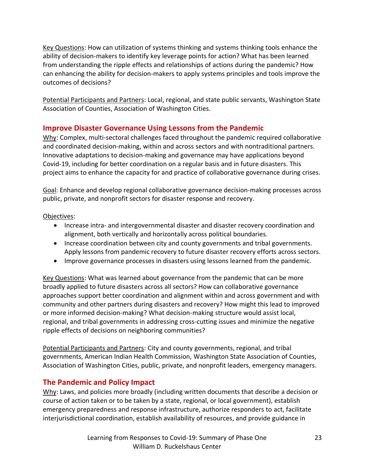Key Questions: How can utilization of systems thinking and systems thinking tools enhance the ability of decision-makers to identify key leverage points for action? What has been learned from understanding the ripple effects and relationships of actions during the pandemic? How can enhancing the ability for decision-makers to apply systems principles and tools improve the outcomes of decisions?

Potential Participants and Partners: Local, regional, and state public servants, Washington State Association of Counties, Association of Washington Cities.

#### **Improve Disaster Governance Using Lessons from the Pandemic**

Why: Complex, multi-sectoral challenges faced throughout the pandemic required collaborative and coordinated decision-making, within and across sectors and with nontraditional partners. Innovative adaptations to decision-making and governance may have applications beyond Covid-19, including for better coordination on a regular basis and in future disasters. This project aims to enhance the capacity for and practice of collaborative governance during crises.

Goal: Enhance and develop regional collaborative governance decision-making processes across public, private, and nonprofit sectors for disaster response and recovery.

#### Objectives:

- Increase intra- and intergovernmental disaster and disaster recovery coordination and alignment, both vertically and horizontally across political boundaries.
- Increase coordination between city and county governments and tribal governments. Apply lessons from pandemic recovery to future disaster recovery efforts across sectors.
- Improve governance processes in disasters using lessons learned from the pandemic.

Key Questions: What was learned about governance from the pandemic that can be more broadly applied to future disasters across all sectors? How can collaborative governance approaches support better coordination and alignment within and across government and with community and other partners during disasters and recovery? How might this lead to improved or more informed decision-making? What decision-making structure would assist local, regional, and tribal governments in addressing cross-cutting issues and minimize the negative ripple effects of decisions on neighboring communities?

Potential Participants and Partners: City and county governments, regional, and tribal governments, American Indian Health Commission, Washington State Association of Counties, Association of Washington Cities, public, private, and nonprofit leaders, emergency managers.

#### **The Pandemic and Policy Impact**

Why: Laws, and policies more broadly (including written documents that describe a decision or course of action taken or to be taken by a state, regional, or local government), establish emergency preparedness and response infrastructure, authorize responders to act, facilitate interjurisdictional coordination, establish availability of resources, and provide guidance in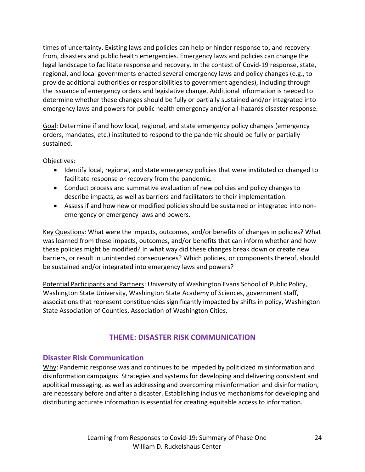times of uncertainty. Existing laws and policies can help or hinder response to, and recovery from, disasters and public health emergencies. Emergency laws and policies can change the legal landscape to facilitate response and recovery. In the context of Covid-19 response, state, regional, and local governments enacted several emergency laws and policy changes (e.g., to provide additional authorities or responsibilities to government agencies), including through the issuance of emergency orders and legislative change. Additional information is needed to determine whether these changes should be fully or partially sustained and/or integrated into emergency laws and powers for public health emergency and/or all-hazards disaster response.

Goal: Determine if and how local, regional, and state emergency policy changes (emergency orders, mandates, etc.) instituted to respond to the pandemic should be fully or partially sustained.

Objectives:

- Identify local, regional, and state emergency policies that were instituted or changed to facilitate response or recovery from the pandemic.
- Conduct process and summative evaluation of new policies and policy changes to describe impacts, as well as barriers and facilitators to their implementation.
- Assess if and how new or modified policies should be sustained or integrated into nonemergency or emergency laws and powers.

Key Questions: What were the impacts, outcomes, and/or benefits of changes in policies? What was learned from these impacts, outcomes, and/or benefits that can inform whether and how these policies might be modified? In what way did these changes break down or create new barriers, or result in unintended consequences? Which policies, or components thereof, should be sustained and/or integrated into emergency laws and powers?

Potential Participants and Partners: University of Washington Evans School of Public Policy, Washington State University, Washington State Academy of Sciences, government staff, associations that represent constituencies significantly impacted by shifts in policy, Washington State Association of Counties, Association of Washington Cities.

#### **THEME: DISASTER RISK COMMUNICATION**

#### **Disaster Risk Communication**

Why: Pandemic response was and continues to be impeded by politicized misinformation and disinformation campaigns. Strategies and systems for developing and delivering consistent and apolitical messaging, as well as addressing and overcoming misinformation and disinformation, are necessary before and after a disaster. Establishing inclusive mechanisms for developing and distributing accurate information is essential for creating equitable access to information.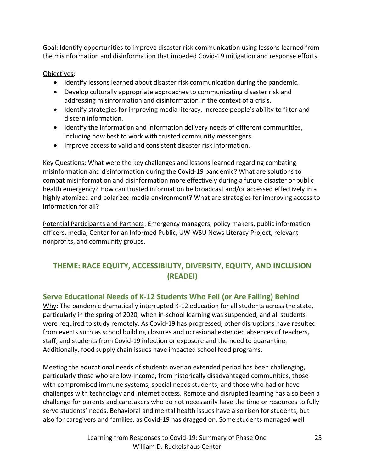Goal: Identify opportunities to improve disaster risk communication using lessons learned from the misinformation and disinformation that impeded Covid-19 mitigation and response efforts.

#### Objectives:

- Identify lessons learned about disaster risk communication during the pandemic.
- Develop culturally appropriate approaches to communicating disaster risk and addressing misinformation and disinformation in the context of a crisis.
- Identify strategies for improving media literacy. Increase people's ability to filter and discern information.
- Identify the information and information delivery needs of different communities, including how best to work with trusted community messengers.
- Improve access to valid and consistent disaster risk information.

Key Questions: What were the key challenges and lessons learned regarding combating misinformation and disinformation during the Covid-19 pandemic? What are solutions to combat misinformation and disinformation more effectively during a future disaster or public health emergency? How can trusted information be broadcast and/or accessed effectively in a highly atomized and polarized media environment? What are strategies for improving access to information for all?

Potential Participants and Partners: Emergency managers, policy makers, public information officers, media, Center for an Informed Public, UW-WSU News Literacy Project, relevant nonprofits, and community groups.

## **THEME: RACE EQUITY, ACCESSIBILITY, DIVERSITY, EQUITY, AND INCLUSION (READEI)**

#### **Serve Educational Needs of K-12 Students Who Fell (or Are Falling) Behind**

Why: The pandemic dramatically interrupted K-12 education for all students across the state, particularly in the spring of 2020, when in-school learning was suspended, and all students were required to study remotely. As Covid-19 has progressed, other disruptions have resulted from events such as school building closures and occasional extended absences of teachers, staff, and students from Covid-19 infection or exposure and the need to quarantine. Additionally, food supply chain issues have impacted school food programs.

Meeting the educational needs of students over an extended period has been challenging, particularly those who are low-income, from historically disadvantaged communities, those with compromised immune systems, special needs students, and those who had or have challenges with technology and internet access. Remote and disrupted learning has also been a challenge for parents and caretakers who do not necessarily have the time or resources to fully serve students' needs. Behavioral and mental health issues have also risen for students, but also for caregivers and families, as Covid-19 has dragged on. Some students managed well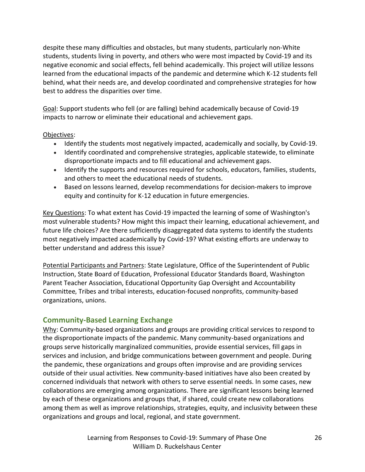despite these many difficulties and obstacles, but many students, particularly non-White students, students living in poverty, and others who were most impacted by Covid-19 and its negative economic and social effects, fell behind academically. This project will utilize lessons learned from the educational impacts of the pandemic and determine which K-12 students fell behind, what their needs are, and develop coordinated and comprehensive strategies for how best to address the disparities over time.

Goal: Support students who fell (or are falling) behind academically because of Covid-19 impacts to narrow or eliminate their educational and achievement gaps.

Objectives:

- Identify the students most negatively impacted, academically and socially, by Covid-19.
- Identify coordinated and comprehensive strategies, applicable statewide, to eliminate disproportionate impacts and to fill educational and achievement gaps.
- Identify the supports and resources required for schools, educators, families, students, and others to meet the educational needs of students.
- Based on lessons learned, develop recommendations for decision-makers to improve equity and continuity for K-12 education in future emergencies.

Key Questions: To what extent has Covid-19 impacted the learning of some of Washington's most vulnerable students? How might this impact their learning, educational achievement, and future life choices? Are there sufficiently disaggregated data systems to identify the students most negatively impacted academically by Covid-19? What existing efforts are underway to better understand and address this issue?

Potential Participants and Partners: State Legislature, Office of the Superintendent of Public Instruction, State Board of Education, Professional Educator Standards Board, Washington Parent Teacher Association, Educational Opportunity Gap Oversight and Accountability Committee, Tribes and tribal interests, education-focused nonprofits, community-based organizations, unions.

#### **Community-Based Learning Exchange**

Why: Community-based organizations and groups are providing critical services to respond to the disproportionate impacts of the pandemic. Many community-based organizations and groups serve historically marginalized communities, provide essential services, fill gaps in services and inclusion, and bridge communications between government and people. During the pandemic, these organizations and groups often improvise and are providing services outside of their usual activities. New community-based initiatives have also been created by concerned individuals that network with others to serve essential needs. In some cases, new collaborations are emerging among organizations. There are significant lessons being learned by each of these organizations and groups that, if shared, could create new collaborations among them as well as improve relationships, strategies, equity, and inclusivity between these organizations and groups and local, regional, and state government.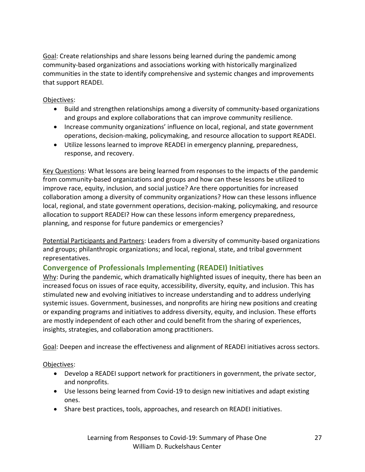Goal: Create relationships and share lessons being learned during the pandemic among community-based organizations and associations working with historically marginalized communities in the state to identify comprehensive and systemic changes and improvements that support READEI.

#### Objectives:

- Build and strengthen relationships among a diversity of community-based organizations and groups and explore collaborations that can improve community resilience.
- Increase community organizations' influence on local, regional, and state government operations, decision-making, policymaking, and resource allocation to support READEI.
- Utilize lessons learned to improve READEI in emergency planning, preparedness, response, and recovery.

Key Questions: What lessons are being learned from responses to the impacts of the pandemic from community-based organizations and groups and how can these lessons be utilized to improve race, equity, inclusion, and social justice? Are there opportunities for increased collaboration among a diversity of community organizations? How can these lessons influence local, regional, and state government operations, decision-making, policymaking, and resource allocation to support READEI? How can these lessons inform emergency preparedness, planning, and response for future pandemics or emergencies?

Potential Participants and Partners: Leaders from a diversity of community-based organizations and groups; philanthropic organizations; and local, regional, state, and tribal government representatives.

#### **Convergence of Professionals Implementing (READEI) Initiatives**

Why: During the pandemic, which dramatically highlighted issues of inequity, there has been an increased focus on issues of race equity, accessibility, diversity, equity, and inclusion. This has stimulated new and evolving initiatives to increase understanding and to address underlying systemic issues. Government, businesses, and nonprofits are hiring new positions and creating or expanding programs and initiatives to address diversity, equity, and inclusion. These efforts are mostly independent of each other and could benefit from the sharing of experiences, insights, strategies, and collaboration among practitioners.

Goal: Deepen and increase the effectiveness and alignment of READEI initiatives across sectors.

#### Objectives:

- Develop a READEI support network for practitioners in government, the private sector, and nonprofits.
- Use lessons being learned from Covid-19 to design new initiatives and adapt existing ones.
- Share best practices, tools, approaches, and research on READEI initiatives.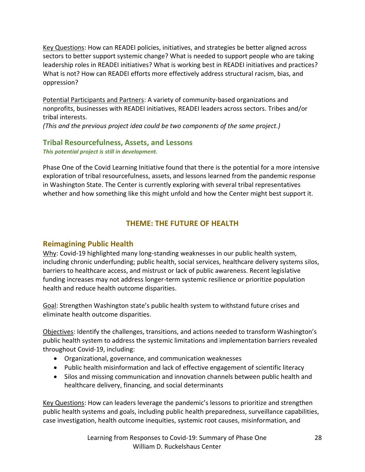Key Questions: How can READEI policies, initiatives, and strategies be better aligned across sectors to better support systemic change? What is needed to support people who are taking leadership roles in READEI initiatives? What is working best in READEI initiatives and practices? What is not? How can READEI efforts more effectively address structural racism, bias, and oppression?

Potential Participants and Partners: A variety of community-based organizations and nonprofits, businesses with READEI initiatives, READEI leaders across sectors. Tribes and/or tribal interests.

*(This and the previous project idea could be two components of the same project.)*

#### **Tribal Resourcefulness, Assets, and Lessons** *This potential project is still in development.*

Phase One of the Covid Learning Initiative found that there is the potential for a more intensive exploration of tribal resourcefulness, assets, and lessons learned from the pandemic response in Washington State. The Center is currently exploring with several tribal representatives whether and how something like this might unfold and how the Center might best support it.

## **THEME: THE FUTURE OF HEALTH**

#### **Reimagining Public Health**

Why: Covid-19 highlighted many long-standing weaknesses in our public health system, including chronic underfunding; public health, social services, healthcare delivery systems silos, barriers to healthcare access, and mistrust or lack of public awareness. Recent legislative funding increases may not address longer-term systemic resilience or prioritize population health and reduce health outcome disparities.

Goal: Strengthen Washington state's public health system to withstand future crises and eliminate health outcome disparities.

Objectives: Identify the challenges, transitions, and actions needed to transform Washington's public health system to address the systemic limitations and implementation barriers revealed throughout Covid-19, including:

- Organizational, governance, and communication weaknesses
- Public health misinformation and lack of effective engagement of scientific literacy
- Silos and missing communication and innovation channels between public health and healthcare delivery, financing, and social determinants

Key Questions: How can leaders leverage the pandemic's lessons to prioritize and strengthen public health systems and goals, including public health preparedness, surveillance capabilities, case investigation, health outcome inequities, systemic root causes, misinformation, and

> Learning from Responses to Covid-19: Summary of Phase One William D. Ruckelshaus Center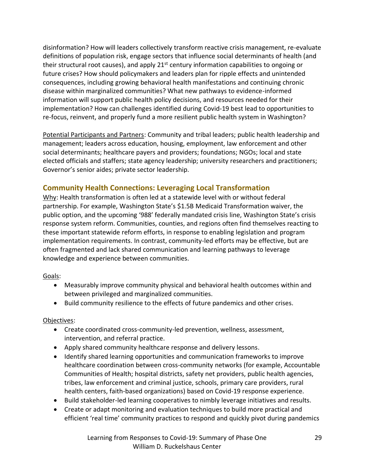disinformation? How will leaders collectively transform reactive crisis management, re-evaluate definitions of population risk, engage sectors that influence social determinants of health (and their structural root causes), and apply  $21^{st}$  century information capabilities to ongoing or future crises? How should policymakers and leaders plan for ripple effects and unintended consequences, including growing behavioral health manifestations and continuing chronic disease within marginalized communities? What new pathways to evidence-informed information will support public health policy decisions, and resources needed for their implementation? How can challenges identified during Covid-19 best lead to opportunities to re-focus, reinvent, and properly fund a more resilient public health system in Washington?

Potential Participants and Partners: Community and tribal leaders; public health leadership and management; leaders across education, housing, employment, law enforcement and other social determinants; healthcare payers and providers; foundations; NGOs; local and state elected officials and staffers; state agency leadership; university researchers and practitioners; Governor's senior aides; private sector leadership.

#### **Community Health Connections: Leveraging Local Transformation**

Why: Health transformation is often led at a statewide level with or without federal partnership. For example, Washington State's \$1.5B Medicaid Transformation waiver, the public option, and the upcoming '988' federally mandated crisis line, Washington State's crisis response system reform. Communities, counties, and regions often find themselves reacting to these important statewide reform efforts, in response to enabling legislation and program implementation requirements. In contrast, community-led efforts may be effective, but are often fragmented and lack shared communication and learning pathways to leverage knowledge and experience between communities.

Goals:

- Measurably improve community physical and behavioral health outcomes within and between privileged and marginalized communities.
- Build community resilience to the effects of future pandemics and other crises.

#### Objectives:

- Create coordinated cross-community-led prevention, wellness, assessment, intervention, and referral practice.
- Apply shared community healthcare response and delivery lessons.
- Identify shared learning opportunities and communication frameworks to improve healthcare coordination between cross-community networks (for example, Accountable Communities of Health; hospital districts, safety net providers, public health agencies, tribes, law enforcement and criminal justice, schools, primary care providers, rural health centers, faith-based organizations) based on Covid-19 response experience.
- Build stakeholder-led learning cooperatives to nimbly leverage initiatives and results.
- Create or adapt monitoring and evaluation techniques to build more practical and efficient 'real time' community practices to respond and quickly pivot during pandemics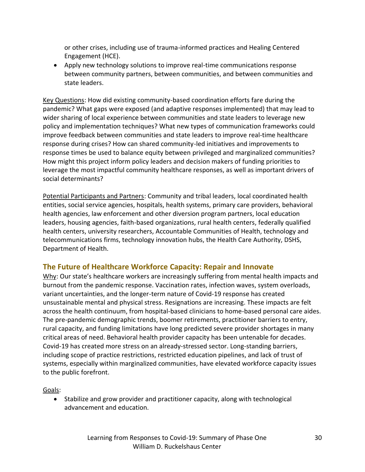or other crises, including use of trauma-informed practices and Healing Centered Engagement (HCE).

• Apply new technology solutions to improve real-time communications response between community partners, between communities, and between communities and state leaders.

Key Questions: How did existing community-based coordination efforts fare during the pandemic? What gaps were exposed (and adaptive responses implemented) that may lead to wider sharing of local experience between communities and state leaders to leverage new policy and implementation techniques? What new types of communication frameworks could improve feedback between communities and state leaders to improve real-time healthcare response during crises? How can shared community-led initiatives and improvements to response times be used to balance equity between privileged and marginalized communities? How might this project inform policy leaders and decision makers of funding priorities to leverage the most impactful community healthcare responses, as well as important drivers of social determinants?

Potential Participants and Partners: Community and tribal leaders, local coordinated health entities, social service agencies, hospitals, health systems, primary care providers, behavioral health agencies, law enforcement and other diversion program partners, local education leaders, housing agencies, faith-based organizations, rural health centers, federally qualified health centers, university researchers, Accountable Communities of Health, technology and telecommunications firms, technology innovation hubs, the Health Care Authority, DSHS, Department of Health.

#### **The Future of Healthcare Workforce Capacity: Repair and Innovate**

Why: Our state's healthcare workers are increasingly suffering from mental health impacts and burnout from the pandemic response. Vaccination rates, infection waves, system overloads, variant uncertainties, and the longer-term nature of Covid-19 response has created unsustainable mental and physical stress. Resignations are increasing. These impacts are felt across the health continuum, from hospital-based clinicians to home-based personal care aides. The pre-pandemic demographic trends, boomer retirements, practitioner barriers to entry, rural capacity, and funding limitations have long predicted severe provider shortages in many critical areas of need. Behavioral health provider capacity has been untenable for decades. Covid-19 has created more stress on an already-stressed sector. Long-standing barriers, including scope of practice restrictions, restricted education pipelines, and lack of trust of systems, especially within marginalized communities, have elevated workforce capacity issues to the public forefront.

Goals:

• Stabilize and grow provider and practitioner capacity, along with technological advancement and education.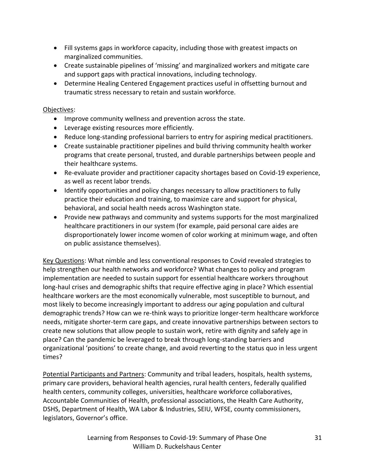- Fill systems gaps in workforce capacity, including those with greatest impacts on marginalized communities.
- Create sustainable pipelines of 'missing' and marginalized workers and mitigate care and support gaps with practical innovations, including technology.
- Determine Healing Centered Engagement practices useful in offsetting burnout and traumatic stress necessary to retain and sustain workforce.

#### Objectives:

- Improve community wellness and prevention across the state.
- Leverage existing resources more efficiently.
- Reduce long-standing professional barriers to entry for aspiring medical practitioners.
- Create sustainable practitioner pipelines and build thriving community health worker programs that create personal, trusted, and durable partnerships between people and their healthcare systems.
- Re-evaluate provider and practitioner capacity shortages based on Covid-19 experience, as well as recent labor trends.
- Identify opportunities and policy changes necessary to allow practitioners to fully practice their education and training, to maximize care and support for physical, behavioral, and social health needs across Washington state.
- Provide new pathways and community and systems supports for the most marginalized healthcare practitioners in our system (for example, paid personal care aides are disproportionately lower income women of color working at minimum wage, and often on public assistance themselves).

Key Questions: What nimble and less conventional responses to Covid revealed strategies to help strengthen our health networks and workforce? What changes to policy and program implementation are needed to sustain support for essential healthcare workers throughout long-haul crises and demographic shifts that require effective aging in place? Which essential healthcare workers are the most economically vulnerable, most susceptible to burnout, and most likely to become increasingly important to address our aging population and cultural demographic trends? How can we re-think ways to prioritize longer-term healthcare workforce needs, mitigate shorter-term care gaps, and create innovative partnerships between sectors to create new solutions that allow people to sustain work, retire with dignity and safely age in place? Can the pandemic be leveraged to break through long-standing barriers and organizational 'positions' to create change, and avoid reverting to the status quo in less urgent times?

Potential Participants and Partners: Community and tribal leaders, hospitals, health systems, primary care providers, behavioral health agencies, rural health centers, federally qualified health centers, community colleges, universities, healthcare workforce collaboratives, Accountable Communities of Health, professional associations, the Health Care Authority, DSHS, Department of Health, WA Labor & Industries, SEIU, WFSE, county commissioners, legislators, Governor's office.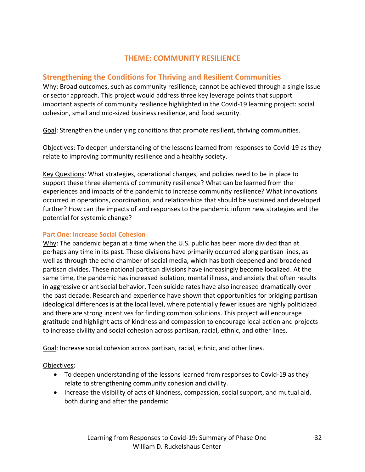#### **THEME: COMMUNITY RESILIENCE**

#### **Strengthening the Conditions for Thriving and Resilient Communities**

Why: Broad outcomes, such as community resilience, cannot be achieved through a single issue or sector approach. This project would address three key leverage points that support important aspects of community resilience highlighted in the Covid-19 learning project: social cohesion, small and mid-sized business resilience, and food security.

Goal: Strengthen the underlying conditions that promote resilient, thriving communities.

Objectives: To deepen understanding of the lessons learned from responses to Covid-19 as they relate to improving community resilience and a healthy society.

Key Questions: What strategies, operational changes, and policies need to be in place to support these three elements of community resilience? What can be learned from the experiences and impacts of the pandemic to increase community resilience? What innovations occurred in operations, coordination, and relationships that should be sustained and developed further? How can the impacts of and responses to the pandemic inform new strategies and the potential for systemic change?

#### **Part One: Increase Social Cohesion**

Why: The pandemic began at a time when the U.S. public has been more divided than at perhaps any time in its past. These divisions have primarily occurred along partisan lines, as well as through the echo chamber of social media, which has both deepened and broadened partisan divides. These national partisan divisions have increasingly become localized. At the same time, the pandemic has increased isolation, mental illness, and anxiety that often results in aggressive or antisocial behavior. Teen suicide rates have also increased dramatically over the past decade. Research and experience have shown that opportunities for bridging partisan ideological differences is at the local level, where potentially fewer issues are highly politicized and there are strong incentives for finding common solutions. This project will encourage gratitude and highlight acts of kindness and compassion to encourage local action and projects to increase civility and social cohesion across partisan, racial, ethnic, and other lines.

Goal: Increase social cohesion across partisan, racial, ethnic, and other lines.

Objectives:

- To deepen understanding of the lessons learned from responses to Covid-19 as they relate to strengthening community cohesion and civility.
- Increase the visibility of acts of kindness, compassion, social support, and mutual aid, both during and after the pandemic.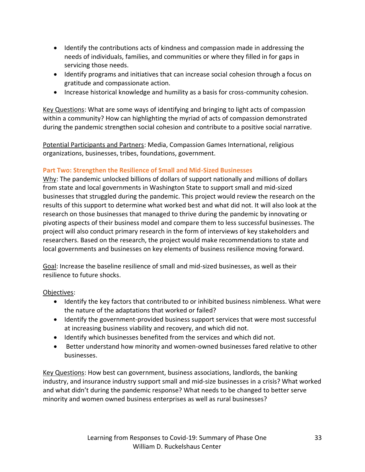- Identify the contributions acts of kindness and compassion made in addressing the needs of individuals, families, and communities or where they filled in for gaps in servicing those needs.
- Identify programs and initiatives that can increase social cohesion through a focus on gratitude and compassionate action.
- Increase historical knowledge and humility as a basis for cross-community cohesion.

Key Questions: What are some ways of identifying and bringing to light acts of compassion within a community? How can highlighting the myriad of acts of compassion demonstrated during the pandemic strengthen social cohesion and contribute to a positive social narrative.

Potential Participants and Partners: Media, Compassion Games International, religious organizations, businesses, tribes, foundations, government.

#### **Part Two: Strengthen the Resilience of Small and Mid-Sized Businesses**

Why: The pandemic unlocked billions of dollars of support nationally and millions of dollars from state and local governments in Washington State to support small and mid-sized businesses that struggled during the pandemic. This project would review the research on the results of this support to determine what worked best and what did not. It will also look at the research on those businesses that managed to thrive during the pandemic by innovating or pivoting aspects of their business model and compare them to less successful businesses. The project will also conduct primary research in the form of interviews of key stakeholders and researchers. Based on the research, the project would make recommendations to state and local governments and businesses on key elements of business resilience moving forward.

Goal: Increase the baseline resilience of small and mid-sized businesses, as well as their resilience to future shocks.

Objectives:

- Identify the key factors that contributed to or inhibited business nimbleness. What were the nature of the adaptations that worked or failed?
- Identify the government-provided business support services that were most successful at increasing business viability and recovery, and which did not.
- Identify which businesses benefited from the services and which did not.
- Better understand how minority and women-owned businesses fared relative to other businesses.

Key Questions: How best can government, business associations, landlords, the banking industry, and insurance industry support small and mid-size businesses in a crisis? What worked and what didn't during the pandemic response? What needs to be changed to better serve minority and women owned business enterprises as well as rural businesses?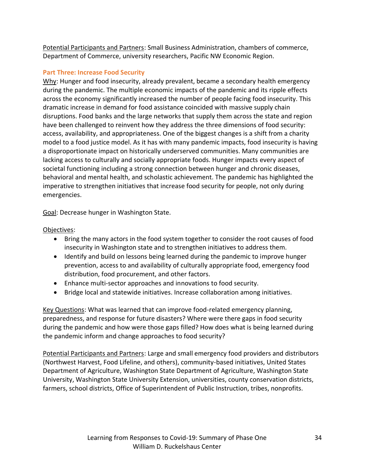Potential Participants and Partners: Small Business Administration, chambers of commerce, Department of Commerce, university researchers, Pacific NW Economic Region.

#### **Part Three: Increase Food Security**

Why: Hunger and food insecurity, already prevalent, became a secondary health emergency during the pandemic. The multiple economic impacts of the pandemic and its ripple effects across the economy significantly increased the number of people facing food insecurity. This dramatic increase in demand for food assistance coincided with massive supply chain disruptions. Food banks and the large networks that supply them across the state and region have been challenged to reinvent how they address the three dimensions of food security: access, availability, and appropriateness. One of the biggest changes is a shift from a charity model to a food justice model. As it has with many pandemic impacts, food insecurity is having a disproportionate impact on historically underserved communities. Many communities are lacking access to culturally and socially appropriate foods. Hunger impacts every aspect of societal functioning including a strong connection between hunger and chronic diseases, behavioral and mental health, and scholastic achievement. The pandemic has highlighted the imperative to strengthen initiatives that increase food security for people, not only during emergencies.

Goal: Decrease hunger in Washington State.

Objectives:

- Bring the many actors in the food system together to consider the root causes of food insecurity in Washington state and to strengthen initiatives to address them.
- Identify and build on lessons being learned during the pandemic to improve hunger prevention, access to and availability of culturally appropriate food, emergency food distribution, food procurement, and other factors.
- Enhance multi-sector approaches and innovations to food security.
- Bridge local and statewide initiatives. Increase collaboration among initiatives.

Key Questions: What was learned that can improve food-related emergency planning, preparedness, and response for future disasters? Where were there gaps in food security during the pandemic and how were those gaps filled? How does what is being learned during the pandemic inform and change approaches to food security?

Potential Participants and Partners: Large and small emergency food providers and distributors (Northwest Harvest, Food Lifeline, and others), community-based initiatives, United States Department of Agriculture, Washington State Department of Agriculture, Washington State University, Washington State University Extension, universities, county conservation districts, farmers, school districts, Office of Superintendent of Public Instruction, tribes, nonprofits.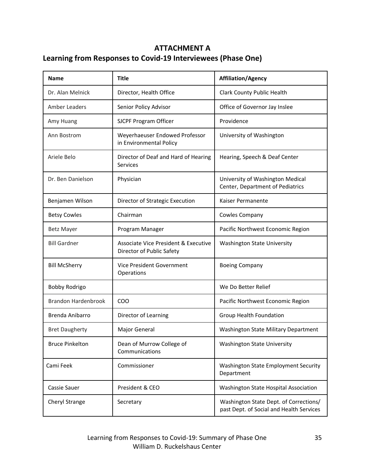## **ATTACHMENT A Learning from Responses to Covid-19 Interviewees (Phase One)**

| <b>Name</b>                | <b>Title</b>                                                      | <b>Affiliation/Agency</b>                                                          |
|----------------------------|-------------------------------------------------------------------|------------------------------------------------------------------------------------|
| Dr. Alan Melnick           | Director, Health Office                                           | Clark County Public Health                                                         |
| Amber Leaders              | Senior Policy Advisor                                             | Office of Governor Jay Inslee                                                      |
| Amy Huang                  | SJCPF Program Officer                                             | Providence                                                                         |
| Ann Bostrom                | Weyerhaeuser Endowed Professor<br>in Environmental Policy         | University of Washington                                                           |
| Ariele Belo                | Director of Deaf and Hard of Hearing<br>Services                  | Hearing, Speech & Deaf Center                                                      |
| Dr. Ben Danielson          | Physician                                                         | University of Washington Medical<br>Center, Department of Pediatrics               |
| Benjamen Wilson            | Director of Strategic Execution                                   | Kaiser Permanente                                                                  |
| <b>Betsy Cowles</b>        | Chairman                                                          | Cowles Company                                                                     |
| Betz Mayer                 | Program Manager                                                   | Pacific Northwest Economic Region                                                  |
| <b>Bill Gardner</b>        | Associate Vice President & Executive<br>Director of Public Safety | <b>Washington State University</b>                                                 |
| <b>Bill McSherry</b>       | Vice President Government<br>Operations                           | <b>Boeing Company</b>                                                              |
| <b>Bobby Rodrigo</b>       |                                                                   | We Do Better Relief                                                                |
| <b>Brandon Hardenbrook</b> | <b>COO</b>                                                        | Pacific Northwest Economic Region                                                  |
| Brenda Anibarro            | Director of Learning                                              | Group Health Foundation                                                            |
| <b>Bret Daugherty</b>      | Major General                                                     | Washington State Military Department                                               |
| <b>Bruce Pinkelton</b>     | Dean of Murrow College of<br>Communications                       | <b>Washington State University</b>                                                 |
| Cami Feek                  | Commissioner                                                      | Washington State Employment Security<br>Department                                 |
| Cassie Sauer               | President & CEO                                                   | Washington State Hospital Association                                              |
| Cheryl Strange             | Secretary                                                         | Washington State Dept. of Corrections/<br>past Dept. of Social and Health Services |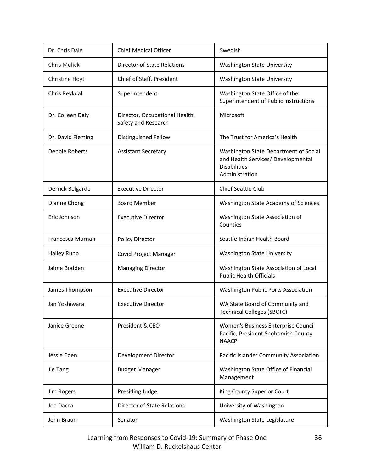| Dr. Chris Dale        | <b>Chief Medical Officer</b>                          | Swedish                                                                                                              |
|-----------------------|-------------------------------------------------------|----------------------------------------------------------------------------------------------------------------------|
| Chris Mulick          | Director of State Relations                           | <b>Washington State University</b>                                                                                   |
| Christine Hoyt        | Chief of Staff, President                             | <b>Washington State University</b>                                                                                   |
| Chris Reykdal         | Superintendent                                        | Washington State Office of the<br>Superintendent of Public Instructions                                              |
| Dr. Colleen Daly      | Director, Occupational Health,<br>Safety and Research | Microsoft                                                                                                            |
| Dr. David Fleming     | Distinguished Fellow                                  | The Trust for America's Health                                                                                       |
| <b>Debbie Roberts</b> | <b>Assistant Secretary</b>                            | Washington State Department of Social<br>and Health Services/ Developmental<br><b>Disabilities</b><br>Administration |
| Derrick Belgarde      | <b>Executive Director</b>                             | <b>Chief Seattle Club</b>                                                                                            |
| Dianne Chong          | <b>Board Member</b>                                   | Washington State Academy of Sciences                                                                                 |
| Eric Johnson          | <b>Executive Director</b>                             | Washington State Association of<br>Counties                                                                          |
| Francesca Murnan      | <b>Policy Director</b>                                | Seattle Indian Health Board                                                                                          |
| <b>Hailey Rupp</b>    | Covid Project Manager                                 | <b>Washington State University</b>                                                                                   |
| Jaime Bodden          | <b>Managing Director</b>                              | Washington State Association of Local<br><b>Public Health Officials</b>                                              |
| James Thompson        | <b>Executive Director</b>                             | Washington Public Ports Association                                                                                  |
| Jan Yoshiwara         | <b>Executive Director</b>                             | WA State Board of Community and<br><b>Technical Colleges (SBCTC)</b>                                                 |
| Janice Greene         | President & CEO                                       | Women's Business Enterprise Council<br>Pacific; President Snohomish County<br><b>NAACP</b>                           |
| Jessie Coen           | Development Director                                  | Pacific Islander Community Association                                                                               |
| Jie Tang              | <b>Budget Manager</b>                                 | Washington State Office of Financial<br>Management                                                                   |
| Jim Rogers            | Presiding Judge                                       | King County Superior Court                                                                                           |
| Joe Dacca             | Director of State Relations                           | University of Washington                                                                                             |
| John Braun            | Senator                                               | Washington State Legislature                                                                                         |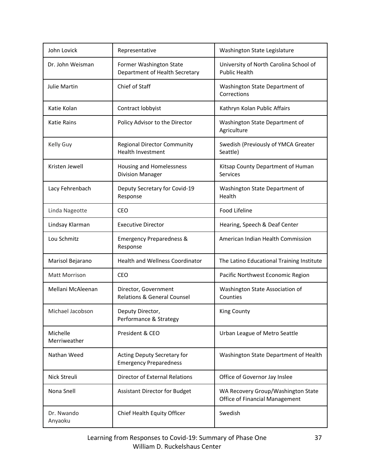| John Lovick              | Representative                                                 | Washington State Legislature                                         |
|--------------------------|----------------------------------------------------------------|----------------------------------------------------------------------|
| Dr. John Weisman         | Former Washington State<br>Department of Health Secretary      | University of North Carolina School of<br><b>Public Health</b>       |
| Julie Martin             | Chief of Staff                                                 | Washington State Department of<br>Corrections                        |
| Katie Kolan              | Contract lobbyist                                              | Kathryn Kolan Public Affairs                                         |
| <b>Katie Rains</b>       | Policy Advisor to the Director                                 | Washington State Department of<br>Agriculture                        |
| Kelly Guy                | <b>Regional Director Community</b><br><b>Health Investment</b> | Swedish (Previously of YMCA Greater<br>Seattle)                      |
| Kristen Jewell           | Housing and Homelessness<br><b>Division Manager</b>            | Kitsap County Department of Human<br><b>Services</b>                 |
| Lacy Fehrenbach          | Deputy Secretary for Covid-19<br>Response                      | Washington State Department of<br>Health                             |
| Linda Nageotte           | CEO                                                            | Food Lifeline                                                        |
| Lindsay Klarman          | <b>Executive Director</b>                                      | Hearing, Speech & Deaf Center                                        |
| Lou Schmitz              | <b>Emergency Preparedness &amp;</b><br>Response                | American Indian Health Commission                                    |
| Marisol Bejarano         | <b>Health and Wellness Coordinator</b>                         | The Latino Educational Training Institute                            |
| Matt Morrison            | CEO                                                            | Pacific Northwest Economic Region                                    |
| Mellani McAleenan        | Director, Government<br><b>Relations &amp; General Counsel</b> | Washington State Association of<br>Counties                          |
| Michael Jacobson         | Deputy Director,<br>Performance & Strategy                     | King County                                                          |
| Michelle<br>Merriweather | President & CEO                                                | Urban League of Metro Seattle                                        |
| Nathan Weed              | Acting Deputy Secretary for<br><b>Emergency Preparedness</b>   | Washington State Department of Health                                |
| Nick Streuli             | <b>Director of External Relations</b>                          | Office of Governor Jay Inslee                                        |
| Nona Snell               | <b>Assistant Director for Budget</b>                           | WA Recovery Group/Washington State<br>Office of Financial Management |
| Dr. Nwando<br>Anyaoku    | Chief Health Equity Officer                                    | Swedish                                                              |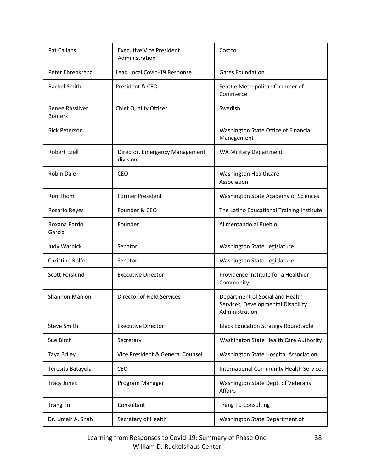| <b>Pat Callans</b>               | <b>Executive Vice President</b><br>Administration | Costco                                                                                  |
|----------------------------------|---------------------------------------------------|-----------------------------------------------------------------------------------------|
| Peter Ehrenkranz                 | Lead Local Covid-19 Response                      | <b>Gates Foundation</b>                                                                 |
| <b>Rachel Smith</b>              | President & CEO                                   | Seattle Metropolitan Chamber of<br>Commerce                                             |
| Renee Rassilyer<br><b>Bomers</b> | <b>Chief Quality Officer</b>                      | Swedish                                                                                 |
| <b>Rick Peterson</b>             |                                                   | Washington State Office of Financial<br>Management                                      |
| Robert Ezell                     | Director, Emergency Management<br>division        | <b>WA Military Department</b>                                                           |
| Robin Dale                       | CEO                                               | <b>Washington Healthcare</b><br>Association                                             |
| Ron Thom                         | <b>Former President</b>                           | Washington State Academy of Sciences                                                    |
| Rosario Reyes                    | Founder & CEO                                     | The Latino Educational Training Institute                                               |
| Roxana Pardo<br>Garcia           | Founder                                           | Alimentando al Pueblo                                                                   |
| Judy Warnick                     | Senator                                           | Washington State Legislature                                                            |
| <b>Christine Rolfes</b>          | Senator                                           | Washington State Legislature                                                            |
| Scott Forslund                   | <b>Executive Director</b>                         | Providence Institute for a Healthier<br>Community                                       |
| <b>Shannon Manion</b>            | Director of Field Services                        | Department of Social and Health<br>Services, Developmental Disability<br>Administration |
| <b>Steve Smith</b>               | <b>Executive Director</b>                         | <b>Black Education Strategy Roundtable</b>                                              |
| Sue Birch                        | Secretary                                         | Washington State Health Care Authority                                                  |
| Taya Briley                      | Vice President & General Counsel                  | Washington State Hospital Association                                                   |
| Teresita Batayola                | <b>CEO</b>                                        | <b>International Community Health Services</b>                                          |
| <b>Tracy Jones</b>               | Program Manager                                   | Washington State Dept. of Veterans<br>Affairs                                           |
| <b>Trang Tu</b>                  | Consultant                                        | <b>Trang Tu Consulting</b>                                                              |
| Dr. Umair A. Shah                | Secretary of Health                               | Washington State Department of                                                          |